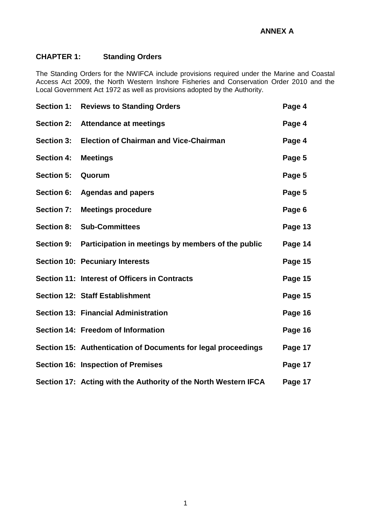# **CHAPTER 1: Standing Orders**

The Standing Orders for the NWIFCA include provisions required under the Marine and Coastal Access Act 2009, the North Western Inshore Fisheries and Conservation Order 2010 and the Local Government Act 1972 as well as provisions adopted by the Authority.

|                   | <b>Section 1: Reviews to Standing Orders</b>                    | Page 4  |
|-------------------|-----------------------------------------------------------------|---------|
|                   | Section 2: Attendance at meetings                               | Page 4  |
| <b>Section 3:</b> | <b>Election of Chairman and Vice-Chairman</b>                   | Page 4  |
| <b>Section 4:</b> | <b>Meetings</b>                                                 | Page 5  |
| <b>Section 5:</b> | Quorum                                                          | Page 5  |
| <b>Section 6:</b> | <b>Agendas and papers</b>                                       | Page 5  |
| <b>Section 7:</b> | <b>Meetings procedure</b>                                       | Page 6  |
| <b>Section 8:</b> | <b>Sub-Committees</b>                                           | Page 13 |
|                   | Section 9: Participation in meetings by members of the public   | Page 14 |
|                   | <b>Section 10: Pecuniary Interests</b>                          | Page 15 |
|                   | Section 11: Interest of Officers in Contracts                   | Page 15 |
|                   | Section 12: Staff Establishment                                 | Page 15 |
|                   | <b>Section 13: Financial Administration</b>                     | Page 16 |
|                   | Section 14: Freedom of Information                              | Page 16 |
|                   | Section 15: Authentication of Documents for legal proceedings   | Page 17 |
|                   | <b>Section 16: Inspection of Premises</b>                       | Page 17 |
|                   | Section 17: Acting with the Authority of the North Western IFCA | Page 17 |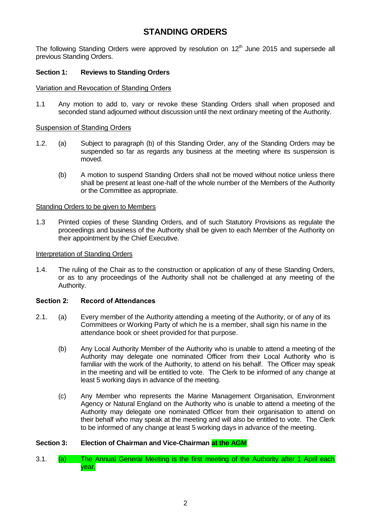# **STANDING ORDERS**

The following Standing Orders were approved by resolution on  $12<sup>th</sup>$  June 2015 and supersede all previous Standing Orders.

# **Section 1: Reviews to Standing Orders**

### Variation and Revocation of Standing Orders

1.1 Any motion to add to, vary or revoke these Standing Orders shall when proposed and seconded stand adjourned without discussion until the next ordinary meeting of the Authority.

### Suspension of Standing Orders

- 1.2. (a) Subject to paragraph (b) of this Standing Order, any of the Standing Orders may be suspended so far as regards any business at the meeting where its suspension is moved.
	- (b) A motion to suspend Standing Orders shall not be moved without notice unless there shall be present at least one-half of the whole number of the Members of the Authority or the Committee as appropriate.

### Standing Orders to be given to Members

1.3 Printed copies of these Standing Orders, and of such Statutory Provisions as regulate the proceedings and business of the Authority shall be given to each Member of the Authority on their appointment by the Chief Executive.

### Interpretation of Standing Orders

1.4. The ruling of the Chair as to the construction or application of any of these Standing Orders, or as to any proceedings of the Authority shall not be challenged at any meeting of the Authority.

# **Section 2: Record of Attendances**

- 2.1. (a) Every member of the Authority attending a meeting of the Authority, or of any of its Committees or Working Party of which he is a member, shall sign his name in the attendance book or sheet provided for that purpose.
	- (b) Any Local Authority Member of the Authority who is unable to attend a meeting of the Authority may delegate one nominated Officer from their Local Authority who is familiar with the work of the Authority, to attend on his behalf. The Officer may speak in the meeting and will be entitled to vote. The Clerk to be informed of any change at least 5 working days in advance of the meeting.
	- (c) Any Member who represents the Marine Management Organisation, Environment Agency or Natural England on the Authority who is unable to attend a meeting of the Authority may delegate one nominated Officer from their organisation to attend on their behalf who may speak at the meeting and will also be entitled to vote. The Clerk to be informed of any change at least 5 working days in advance of the meeting.

# **Section 3: Election of Chairman and Vice-Chairman at the AGM**

3.1. (a) The Annual General Meeting is the first meeting of the Authority after 1 April each year.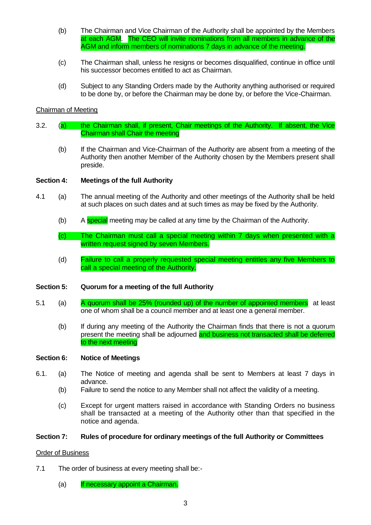- (b) The Chairman and Vice Chairman of the Authority shall be appointed by the Members at each AGM. The CEO will invite nominations from all members in advance of the AGM and inform members of nominations 7 days in advance of the meeting.
- (c) The Chairman shall, unless he resigns or becomes disqualified, continue in office until his successor becomes entitled to act as Chairman.
- (d) Subject to any Standing Orders made by the Authority anything authorised or required to be done by, or before the Chairman may be done by, or before the Vice-Chairman.

# Chairman of Meeting

- 3.2. (a) the Chairman shall, if present, Chair meetings of the Authority. If absent, the Vice Chairman shall Chair the meeting
	- (b) If the Chairman and Vice-Chairman of the Authority are absent from a meeting of the Authority then another Member of the Authority chosen by the Members present shall preside.

### **Section 4: Meetings of the full Authority**

- 4.1 (a) The annual meeting of the Authority and other meetings of the Authority shall be held at such places on such dates and at such times as may be fixed by the Authority.
	- (b) A special meeting may be called at any time by the Chairman of the Authority.
	- (c) The Chairman must call a special meeting within 7 days when presented with a written request signed by seven Members.
	- (d) Failure to call a properly requested special meeting entitles any five Members to call a special meeting of the Authority.

### **Section 5: Quorum for a meeting of the full Authority**

- 5.1 (a) A quorum shall be  $25\%$  (rounded up) of the number of appointed members at least one of whom shall be a council member and at least one a general member.
	- (b) If during any meeting of the Authority the Chairman finds that there is not a quorum present the meeting shall be adjourned and business not transacted shall be deferred to the next meeting

### **Section 6: Notice of Meetings**

- 6.1. (a) The Notice of meeting and agenda shall be sent to Members at least 7 days in advance.
	- (b) Failure to send the notice to any Member shall not affect the validity of a meeting.
	- (c) Except for urgent matters raised in accordance with Standing Orders no business shall be transacted at a meeting of the Authority other than that specified in the notice and agenda.

### **Section 7: Rules of procedure for ordinary meetings of the full Authority or Committees**

### Order of Business

- 7.1 The order of business at every meeting shall be:-
	- (a) If necessary appoint a Chairman.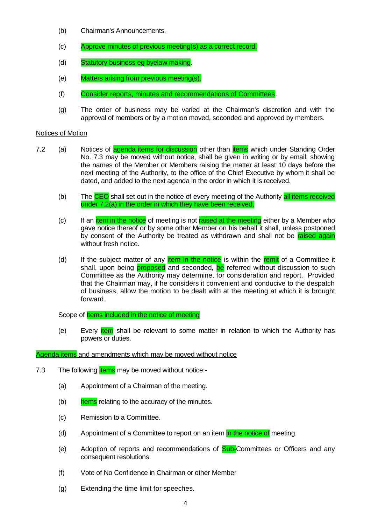- (b) Chairman's Announcements.
- (c) Approve minutes of previous meeting(s) as a correct record.
- (d) Statutory business eg byelaw making.
- (e) Matters arising from previous meeting(s).
- (f) Consider reports, minutes and recommendations of Committees.
- (g) The order of business may be varied at the Chairman's discretion and with the approval of members or by a motion moved, seconded and approved by members.

### Notices of Motion

- 7.2 (a) Notices of agenda items for discussion other than *items* which under Standing Order No. 7.3 may be moved without notice, shall be given in writing or by email, showing the names of the Member or Members raising the matter at least 10 days before the next meeting of the Authority, to the office of the Chief Executive by whom it shall be dated, and added to the next agenda in the order in which it is received.
	- (b) The CEO shall set out in the notice of every meeting of the Authority all items received under 7.2(a) in the order in which they have been received.
	- (c) If an *item in the notice* of meeting is not raised at the meeting either by a Member who gave notice thereof or by some other Member on his behalf it shall, unless postponed by consent of the Authority be treated as withdrawn and shall not be **raised again** without fresh notice.
	- (d) If the subject matter of any  $\frac{1}{2}$  item in the notice is within the remit of a Committee it shall, upon being **proposed** and seconded, be referred without discussion to such Committee as the Authority may determine, for consideration and report. Provided that the Chairman may, if he considers it convenient and conducive to the despatch of business, allow the motion to be dealt with at the meeting at which it is brought forward.

Scope of **Items included in the notice of meeting** 

(e) Every **item** shall be relevant to some matter in relation to which the Authority has powers or duties.

# Agenda items and amendments which may be moved without notice

- 7.3 The following *items* may be moved without notice:-
	- (a) Appointment of a Chairman of the meeting.
	- $(b)$  Items relating to the accuracy of the minutes.
	- (c) Remission to a Committee.
	- (d) Appointment of a Committee to report on an item in the notice of meeting.
	- (e) Adoption of reports and recommendations of **Sub-**Committees or Officers and any consequent resolutions.
	- (f) Vote of No Confidence in Chairman or other Member
	- (g) Extending the time limit for speeches.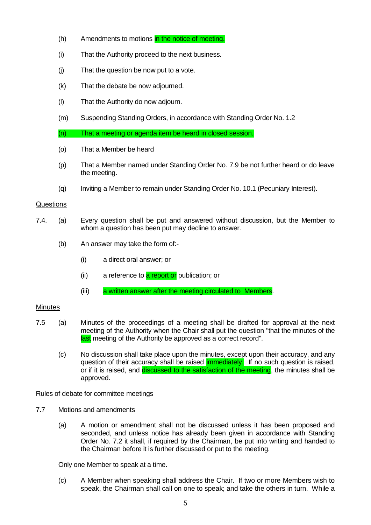- (h) Amendments to motions in the notice of meeting.
- (i) That the Authority proceed to the next business.
- (j) That the question be now put to a vote.
- (k) That the debate be now adjourned.
- (l) That the Authority do now adjourn.
- (m) Suspending Standing Orders, in accordance with Standing Order No. 1.2

(n) That a meeting or agenda item be heard in closed session.

- (o) That a Member be heard
- (p) That a Member named under Standing Order No. 7.9 be not further heard or do leave the meeting.
- (q) Inviting a Member to remain under Standing Order No. 10.1 (Pecuniary Interest).

### Questions

- 7.4. (a) Every question shall be put and answered without discussion, but the Member to whom a question has been put may decline to answer.
	- (b) An answer may take the form of:-
		- (i) a direct oral answer; or
		- (ii) a reference to **a report or** publication; or
		- (iii) a written answer after the meeting circulated to Members.

### **Minutes**

- 7.5 (a) Minutes of the proceedings of a meeting shall be drafted for approval at the next meeting of the Authority when the Chair shall put the question "that the minutes of the last meeting of the Authority be approved as a correct record".
	- (c) No discussion shall take place upon the minutes, except upon their accuracy, and any question of their accuracy shall be raised **immediately.** If no such question is raised, or if it is raised, and discussed to the satisfaction of the meeting, the minutes shall be approved.

### Rules of debate for committee meetings

- 7.7 Motions and amendments
	- (a) A motion or amendment shall not be discussed unless it has been proposed and seconded, and unless notice has already been given in accordance with Standing Order No. 7.2 it shall, if required by the Chairman, be put into writing and handed to the Chairman before it is further discussed or put to the meeting.

Only one Member to speak at a time.

(c) A Member when speaking shall address the Chair. If two or more Members wish to speak, the Chairman shall call on one to speak; and take the others in turn. While a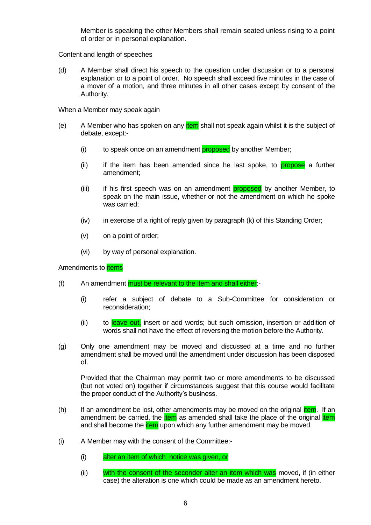Member is speaking the other Members shall remain seated unless rising to a point of order or in personal explanation.

Content and length of speeches

(d) A Member shall direct his speech to the question under discussion or to a personal explanation or to a point of order. No speech shall exceed five minutes in the case of a mover of a motion, and three minutes in all other cases except by consent of the Authority.

When a Member may speak again

- (e) A Member who has spoken on any **item** shall not speak again whilst it is the subject of debate, except:-
	- (i) to speak once on an amendment proposed by another Member;
	- (ii) if the item has been amended since he last spoke, to **propose** a further amendment;
	- (iii) if his first speech was on an amendment **proposed** by another Member, to speak on the main issue, whether or not the amendment on which he spoke was carried;
	- $(iv)$  in exercise of a right of reply given by paragraph  $(k)$  of this Standing Order;
	- (v) on a point of order;
	- (vi) by way of personal explanation.

Amendments to **items** 

- $(f)$  An amendment must be relevant to the item and shall either:-
	- (i) refer a subject of debate to a Sub-Committee for consideration or reconsideration;
	- (ii) to leave out, insert or add words; but such omission, insertion or addition of words shall not have the effect of reversing the motion before the Authority.
- (g) Only one amendment may be moved and discussed at a time and no further amendment shall be moved until the amendment under discussion has been disposed of.

Provided that the Chairman may permit two or more amendments to be discussed (but not voted on) together if circumstances suggest that this course would facilitate the proper conduct of the Authority's business.

- (h) If an amendment be lost, other amendments may be moved on the original *item*. If an amendment be carried, the **item** as amended shall take the place of the original **item** and shall become the **item** upon which any further amendment may be moved.
- (i) A Member may with the consent of the Committee:-
	- (i) alter an item of which notice was given, or
	- (ii) with the consent of the seconder alter an item which was moved, if (in either case) the alteration is one which could be made as an amendment hereto.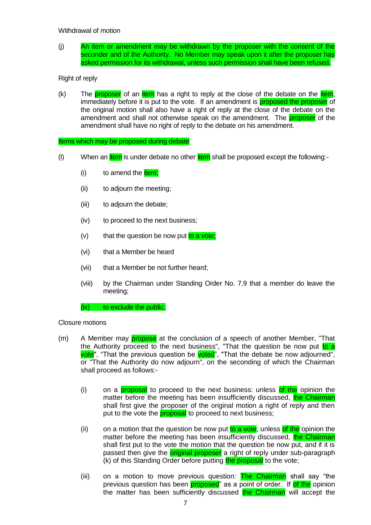# Withdrawal of motion

(j) An item or amendment may be withdrawn by the proposer with the consent of the seconder and of the Authority. No Member may speak upon it after the proposer has asked permission for its withdrawal, unless such permission shall have been refused.

# Right of reply

 $(k)$  The **proposer** of an item has a right to reply at the close of the debate on the item, immediately before it is put to the vote. If an amendment is **proposed the proposer** of the original motion shall also have a right of reply at the close of the debate on the amendment and shall not otherwise speak on the amendment. The proposer of the amendment shall have no right of reply to the debate on his amendment.

### Items which may be proposed during debate

- (I) When an  $\frac{1}{x}$  is under debate no other  $\frac{1}{x}$  shall be proposed except the following:-
	- $(i)$  to amend the  $i$ tem;
	- (ii) to adjourn the meeting;
	- (iii) to adjourn the debate;
	- (iv) to proceed to the next business;
	- $(v)$  that the question be now put to a vote;
	- (vi) that a Member be heard
	- (vii) that a Member be not further heard;
	- (viii) by the Chairman under Standing Order No. 7.9 that a member do leave the meeting;

### (ix) to exclude the public.

### Closure motions

- (m) A Member may **propose** at the conclusion of a speech of another Member, "That the Authority proceed to the next business", "That the question be now put to a vote", "That the previous question be voted", "That the debate be now adjourned", or "That the Authority do now adjourn", on the seconding of which the Chairman shall proceed as follows:-
	- (i) on a **proposal** to proceed to the next business: unless of the opinion the matter before the meeting has been insufficiently discussed, the Chairman shall first give the proposer of the original motion a right of reply and then put to the vote the **proposal** to proceed to next business;
	- (ii) on a motion that the question be now put to a vote; unless of the opinion the matter before the meeting has been insufficiently discussed, the Chairman shall first put to the vote the motion that the question be now put, and if it is passed then give the **original proposer** a right of reply under sub-paragraph (k) of this Standing Order before putting the proposal to the vote;
	- (iii) on a motion to move previous question:  $\frac{1}{\pi}$  Chairman shall say "the previous question has been **proposed**" as a point of order. If of the opinion the matter has been sufficiently discussed the Chairman will accept the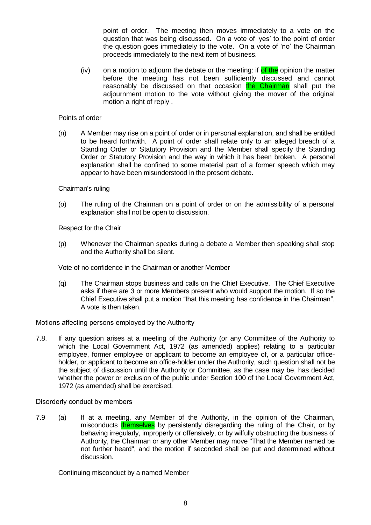point of order. The meeting then moves immediately to a vote on the question that was being discussed. On a vote of 'yes' to the point of order the question goes immediately to the vote. On a vote of 'no' the Chairman proceeds immediately to the next item of business.

 $(iv)$  on a motion to adjourn the debate or the meeting: if of the opinion the matter before the meeting has not been sufficiently discussed and cannot reasonably be discussed on that occasion the Chairman shall put the adjournment motion to the vote without giving the mover of the original motion a right of reply .

### Points of order

(n) A Member may rise on a point of order or in personal explanation, and shall be entitled to be heard forthwith. A point of order shall relate only to an alleged breach of a Standing Order or Statutory Provision and the Member shall specify the Standing Order or Statutory Provision and the way in which it has been broken. A personal explanation shall be confined to some material part of a former speech which may appear to have been misunderstood in the present debate.

### Chairman's ruling

(o) The ruling of the Chairman on a point of order or on the admissibility of a personal explanation shall not be open to discussion.

Respect for the Chair

(p) Whenever the Chairman speaks during a debate a Member then speaking shall stop and the Authority shall be silent.

Vote of no confidence in the Chairman or another Member

(q) The Chairman stops business and calls on the Chief Executive. The Chief Executive asks if there are 3 or more Members present who would support the motion. If so the Chief Executive shall put a motion "that this meeting has confidence in the Chairman". A vote is then taken.

### Motions affecting persons employed by the Authority

7.8. If any question arises at a meeting of the Authority (or any Committee of the Authority to which the Local Government Act, 1972 (as amended) applies) relating to a particular employee, former employee or applicant to become an employee of, or a particular officeholder, or applicant to become an office-holder under the Authority, such question shall not be the subject of discussion until the Authority or Committee, as the case may be, has decided whether the power or exclusion of the public under Section 100 of the Local Government Act, 1972 (as amended) shall be exercised.

### Disorderly conduct by members

7.9 (a) If at a meeting, any Member of the Authority, in the opinion of the Chairman, misconducts themselves by persistently disregarding the ruling of the Chair, or by behaving irregularly, improperly or offensively, or by wilfully obstructing the business of Authority, the Chairman or any other Member may move "That the Member named be not further heard", and the motion if seconded shall be put and determined without discussion.

Continuing misconduct by a named Member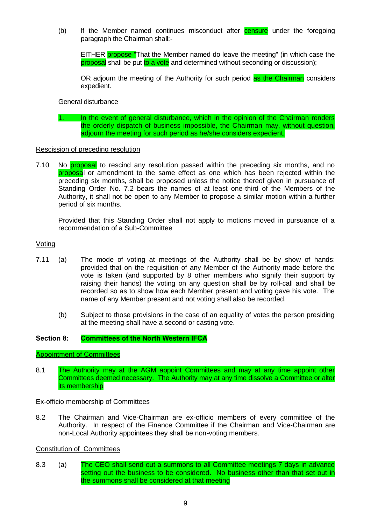(b) If the Member named continues misconduct after **censure** under the foregoing paragraph the Chairman shall:-

EITHER propose "That the Member named do leave the meeting" (in which case the proposal shall be put to a vote and determined without seconding or discussion);

OR adjourn the meeting of the Authority for such period as the Chairman considers expedient.

General disturbance

1. In the event of general disturbance, which in the opinion of the Chairman renders the orderly dispatch of business impossible, the Chairman may, without question, adjourn the meeting for such period as he/she considers expedient.

### Rescission of preceding resolution

7.10 No **proposal** to rescind any resolution passed within the preceding six months, and no proposal or amendment to the same effect as one which has been rejected within the preceding six months, shall be proposed unless the notice thereof given in pursuance of Standing Order No. 7.2 bears the names of at least one-third of the Members of the Authority, it shall not be open to any Member to propose a similar motion within a further period of six months.

Provided that this Standing Order shall not apply to motions moved in pursuance of a recommendation of a Sub-Committee

#### Voting

- 7.11 (a) The mode of voting at meetings of the Authority shall be by show of hands: provided that on the requisition of any Member of the Authority made before the vote is taken (and supported by 8 other members who signify their support by raising their hands) the voting on any question shall be by roll-call and shall be recorded so as to show how each Member present and voting gave his vote. The name of any Member present and not voting shall also be recorded.
	- (b) Subject to those provisions in the case of an equality of votes the person presiding at the meeting shall have a second or casting vote.

### **Section 8: Committees of the North Western IFCA**

#### Appointment of Committees

8.1 The Authority may at the AGM appoint Committees and may at any time appoint other Committees deemed necessary. The Authority may at any time dissolve a Committee or alter its membership

#### Ex-officio membership of Committees

8.2 The Chairman and Vice-Chairman are ex-officio members of every committee of the Authority. In respect of the Finance Committee if the Chairman and Vice-Chairman are non-Local Authority appointees they shall be non-voting members.

### Constitution of Committees

8.3 (a) The CEO shall send out a summons to all Committee meetings 7 days in advance setting out the business to be considered. No business other than that set out in the summons shall be considered at that meeting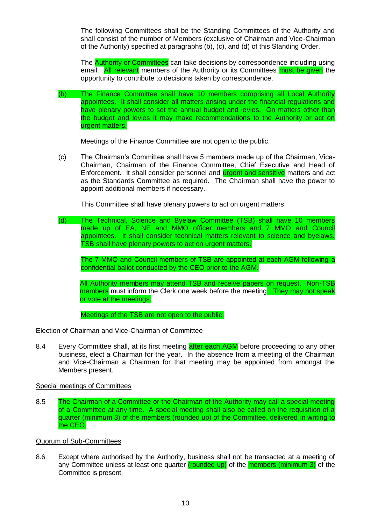The following Committees shall be the Standing Committees of the Authority and shall consist of the number of Members (exclusive of Chairman and Vice-Chairman of the Authority) specified at paragraphs (b), (c), and (d) of this Standing Order.

The **Authority or Committees** can take decisions by correspondence including using email. All relevant members of the Authority or its Committees must be given the opportunity to contribute to decisions taken by correspondence.

(b) The Finance Committee shall have 10 members comprising all Local Authority appointees. It shall consider all matters arising under the financial regulations and have plenary powers to set the annual budget and levies. On matters other than the budget and levies it may make recommendations to the Authority or act on urgent matters.

Meetings of the Finance Committee are not open to the public.

(c) The Chairman's Committee shall have 5 members made up of the Chairman, Vice-Chairman, Chairman of the Finance Committee, Chief Executive and Head of Enforcement. It shall consider personnel and **urgent and sensitive** matters and act as the Standards Committee as required. The Chairman shall have the power to appoint additional members if necessary.

This Committee shall have plenary powers to act on urgent matters.

(d) The Technical, Science and Byelaw Committee (TSB) shall have 10 members made up of EA, NE and MMO officer members and 7 MMO and Council appointees. It shall consider technical matters relevant to science and byelaws. TSB shall have plenary powers to act on urgent matters.

The 7 MMO and Council members of TSB are appointed at each AGM following a confidential ballot conducted by the CEO prior to the AGM.

All Authority members may attend TSB and receive papers on request. Non-TSB members must inform the Clerk one week before the meeting. They may not speak or vote at the meetings.

Meetings of the TSB are not open to the public.

# Election of Chairman and Vice-Chairman of Committee

8.4 Every Committee shall, at its first meeting after each AGM before proceeding to any other business, elect a Chairman for the year. In the absence from a meeting of the Chairman and Vice-Chairman a Chairman for that meeting may be appointed from amongst the Members present.

### Special meetings of Committees

8.5 The Chairman of a Committee or the Chairman of the Authority may call a special meeting of a Committee at any time. A special meeting shall also be called on the requisition of a quarter (minimum 3) of the members (rounded up) of the Committee, delivered in writing to the CEO.

### Quorum of Sub-Committees

8.6 Except where authorised by the Authority, business shall not be transacted at a meeting of any Committee unless at least one quarter (rounded up) of the members (minimum 3) of the Committee is present.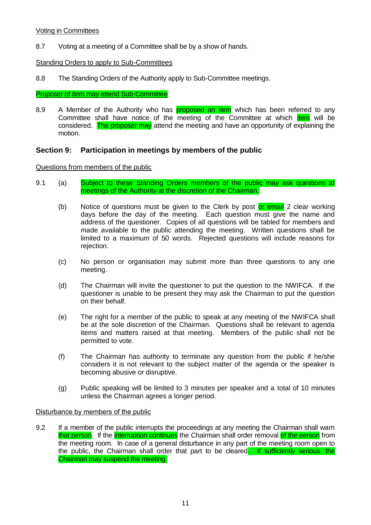# Voting in Committees

8.7 Voting at a meeting of a Committee shall be by a show of hands.

# Standing Orders to apply to Sub-Committees

8.8 The Standing Orders of the Authority apply to Sub-Committee meetings.

# Proposer of item may attend Sub-Committee

8.9 A Member of the Authority who has **proposed an item** which has been referred to any Committee shall have notice of the meeting of the Committee at which *item* will be considered. The proposer may attend the meeting and have an opportunity of explaining the motion.

# **Section 9: Participation in meetings by members of the public**

# Questions from members of the public

- 9.1 (a) Subject to these Standing Orders members of the public may ask questions at meetings of the Authority at the discretion of the Chairman.
	- (b) Notice of questions must be given to the Clerk by post or email 2 clear working days before the day of the meeting. Each question must give the name and address of the questioner. Copies of all questions will be tabled for members and made available to the public attending the meeting. Written questions shall be limited to a maximum of 50 words. Rejected questions will include reasons for rejection.
	- (c) No person or organisation may submit more than three questions to any one meeting.
	- (d) The Chairman will invite the questioner to put the question to the NWIFCA. If the questioner is unable to be present they may ask the Chairman to put the question on their behalf.
	- (e) The right for a member of the public to speak at any meeting of the NWIFCA shall be at the sole discretion of the Chairman. Questions shall be relevant to agenda items and matters raised at that meeting. Members of the public shall not be permitted to vote.
	- (f) The Chairman has authority to terminate any question from the public if he/she considers it is not relevant to the subject matter of the agenda or the speaker is becoming abusive or disruptive.
	- (g) Public speaking will be limited to 3 minutes per speaker and a total of 10 minutes unless the Chairman agrees a longer period.

# Disturbance by members of the public

9.2 If a member of the public interrupts the proceedings at any meeting the Chairman shall warn that person. If the interruption continues the Chairman shall order removal of the person from the meeting room. In case of a general disturbance in any part of the meeting room open to the public, the Chairman shall order that part to be cleared. If sufficiently serious, the Chairman may suspend the meeting.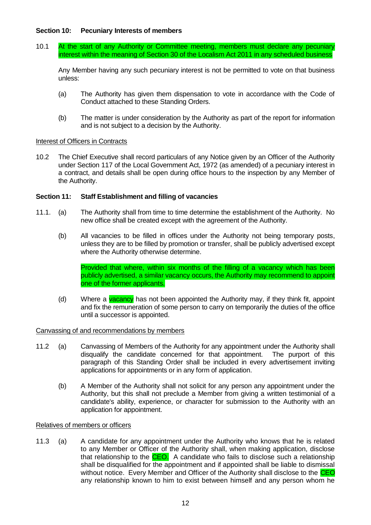# **Section 10: Pecuniary Interests of members**

10.1 At the start of any Authority or Committee meeting, members must declare any pecuniary interest within the meaning of Section 30 of the Localism Act 2011 in any scheduled business

Any Member having any such pecuniary interest is not be permitted to vote on that business unless:

- (a) The Authority has given them dispensation to vote in accordance with the Code of Conduct attached to these Standing Orders.
- (b) The matter is under consideration by the Authority as part of the report for information and is not subject to a decision by the Authority.

### Interest of Officers in Contracts

10.2 The Chief Executive shall record particulars of any Notice given by an Officer of the Authority under Section 117 of the Local Government Act, 1972 (as amended) of a pecuniary interest in a contract, and details shall be open during office hours to the inspection by any Member of the Authority.

### **Section 11: Staff Establishment and filling of vacancies**

- 11.1. (a) The Authority shall from time to time determine the establishment of the Authority. No new office shall be created except with the agreement of the Authority.
	- (b) All vacancies to be filled in offices under the Authority not being temporary posts, unless they are to be filled by promotion or transfer, shall be publicly advertised except where the Authority otherwise determine.

Provided that where, within six months of the filling of a vacancy which has been publicly advertised, a similar vacancy occurs, the Authority may recommend to appoint one of the former applicants.

(d) Where a vacancy has not been appointed the Authority may, if they think fit, appoint and fix the remuneration of some person to carry on temporarily the duties of the office until a successor is appointed.

### Canvassing of and recommendations by members

- 11.2 (a) Canvassing of Members of the Authority for any appointment under the Authority shall disqualify the candidate concerned for that appointment. The purport of this paragraph of this Standing Order shall be included in every advertisement inviting applications for appointments or in any form of application.
	- (b) A Member of the Authority shall not solicit for any person any appointment under the Authority, but this shall not preclude a Member from giving a written testimonial of a candidate's ability, experience, or character for submission to the Authority with an application for appointment.

### Relatives of members or officers

11.3 (a) A candidate for any appointment under the Authority who knows that he is related to any Member or Officer of the Authority shall, when making application, disclose that relationship to the CEO. A candidate who fails to disclose such a relationship shall be disqualified for the appointment and if appointed shall be liable to dismissal without notice. Every Member and Officer of the Authority shall disclose to the CEO any relationship known to him to exist between himself and any person whom he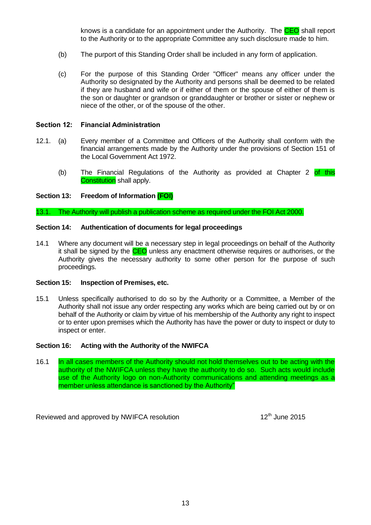knows is a candidate for an appointment under the Authority. The **CEO** shall report to the Authority or to the appropriate Committee any such disclosure made to him.

- (b) The purport of this Standing Order shall be included in any form of application.
- (c) For the purpose of this Standing Order "Officer" means any officer under the Authority so designated by the Authority and persons shall be deemed to be related if they are husband and wife or if either of them or the spouse of either of them is the son or daughter or grandson or granddaughter or brother or sister or nephew or niece of the other, or of the spouse of the other.

### **Section 12: Financial Administration**

- 12.1. (a) Every member of a Committee and Officers of the Authority shall conform with the financial arrangements made by the Authority under the provisions of Section 151 of the Local Government Act 1972.
	- (b) The Financial Regulations of the Authority as provided at Chapter 2 of this Constitution shall apply.

### **Section 13: Freedom of Information (FOI)**

13.1. The Authority will publish a publication scheme as required under the FOI Act 2000.

### **Section 14: Authentication of documents for legal proceedings**

14.1 Where any document will be a necessary step in legal proceedings on behalf of the Authority it shall be signed by the CEO unless any enactment otherwise requires or authorises, or the Authority gives the necessary authority to some other person for the purpose of such proceedings.

# **Section 15: Inspection of Premises, etc.**

15.1 Unless specifically authorised to do so by the Authority or a Committee, a Member of the Authority shall not issue any order respecting any works which are being carried out by or on behalf of the Authority or claim by virtue of his membership of the Authority any right to inspect or to enter upon premises which the Authority has have the power or duty to inspect or duty to inspect or enter.

### **Section 16: Acting with the Authority of the NWIFCA**

16.1 In all cases members of the Authority should not hold themselves out to be acting with the authority of the NWIFCA unless they have the authority to do so. Such acts would include use of the Authority logo on non-Authority communications and attending meetings as a member unless attendance is sanctioned by the Authority"

Reviewed and approved by NWIFCA resolution 12<sup>th</sup> June 2015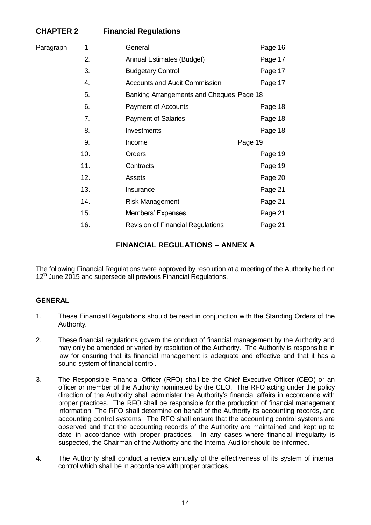# **CHAPTER 2 Financial Regulations**

| Paragraph | 1   | General                                  | Page 16 |
|-----------|-----|------------------------------------------|---------|
|           | 2.  | <b>Annual Estimates (Budget)</b>         | Page 17 |
|           | 3.  | <b>Budgetary Control</b>                 | Page 17 |
|           | 4.  | <b>Accounts and Audit Commission</b>     | Page 17 |
|           | 5.  | Banking Arrangements and Cheques Page 18 |         |
|           | 6.  | <b>Payment of Accounts</b>               | Page 18 |
|           | 7.  | <b>Payment of Salaries</b>               | Page 18 |
|           | 8.  | Investments                              | Page 18 |
|           | 9.  | Income                                   | Page 19 |
|           | 10. | Orders                                   | Page 19 |
|           | 11. | Contracts                                | Page 19 |
|           | 12. | Assets                                   | Page 20 |
|           | 13. | Insurance                                | Page 21 |
|           | 14. | <b>Risk Management</b>                   | Page 21 |
|           | 15. | Members' Expenses                        | Page 21 |
|           | 16. | <b>Revision of Financial Regulations</b> | Page 21 |
|           |     |                                          |         |

# **FINANCIAL REGULATIONS – ANNEX A**

The following Financial Regulations were approved by resolution at a meeting of the Authority held on 12<sup>th</sup> June 2015 and supersede all previous Financial Regulations.

# **GENERAL**

- 1. These Financial Regulations should be read in conjunction with the Standing Orders of the Authority.
- 2. These financial regulations govern the conduct of financial management by the Authority and may only be amended or varied by resolution of the Authority. The Authority is responsible in law for ensuring that its financial management is adequate and effective and that it has a sound system of financial control.
- 3. The Responsible Financial Officer (RFO) shall be the Chief Executive Officer (CEO) or an officer or member of the Authority nominated by the CEO. The RFO acting under the policy direction of the Authority shall administer the Authority's financial affairs in accordance with proper practices. The RFO shall be responsible for the production of financial management information. The RFO shall determine on behalf of the Authority its accounting records, and accounting control systems. The RFO shall ensure that the accounting control systems are observed and that the accounting records of the Authority are maintained and kept up to date in accordance with proper practices. In any cases where financial irregularity is suspected, the Chairman of the Authority and the Internal Auditor should be informed.
- 4. The Authority shall conduct a review annually of the effectiveness of its system of internal control which shall be in accordance with proper practices.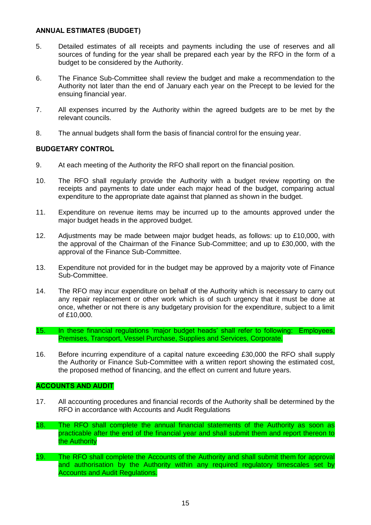# **ANNUAL ESTIMATES (BUDGET)**

- 5. Detailed estimates of all receipts and payments including the use of reserves and all sources of funding for the year shall be prepared each year by the RFO in the form of a budget to be considered by the Authority.
- 6. The Finance Sub-Committee shall review the budget and make a recommendation to the Authority not later than the end of January each year on the Precept to be levied for the ensuing financial year.
- 7. All expenses incurred by the Authority within the agreed budgets are to be met by the relevant councils.
- 8. The annual budgets shall form the basis of financial control for the ensuing year.

# **BUDGETARY CONTROL**

- 9. At each meeting of the Authority the RFO shall report on the financial position.
- 10. The RFO shall regularly provide the Authority with a budget review reporting on the receipts and payments to date under each major head of the budget, comparing actual expenditure to the appropriate date against that planned as shown in the budget.
- 11. Expenditure on revenue items may be incurred up to the amounts approved under the major budget heads in the approved budget.
- 12. Adjustments may be made between major budget heads, as follows: up to £10,000, with the approval of the Chairman of the Finance Sub-Committee; and up to £30,000, with the approval of the Finance Sub-Committee.
- 13. Expenditure not provided for in the budget may be approved by a majority vote of Finance Sub-Committee.
- 14. The RFO may incur expenditure on behalf of the Authority which is necessary to carry out any repair replacement or other work which is of such urgency that it must be done at once, whether or not there is any budgetary provision for the expenditure, subject to a limit of £10,000.
- 15. In these financial regulations 'major budget heads' shall refer to following: Employees, Premises, Transport, Vessel Purchase, Supplies and Services, Corporate.
- 16. Before incurring expenditure of a capital nature exceeding £30,000 the RFO shall supply the Authority or Finance Sub-Committee with a written report showing the estimated cost, the proposed method of financing, and the effect on current and future years.

# **ACCOUNTS AND AUDIT**

- 17. All accounting procedures and financial records of the Authority shall be determined by the RFO in accordance with Accounts and Audit Regulations
- 18. The RFO shall complete the annual financial statements of the Authority as soon as practicable after the end of the financial year and shall submit them and report thereon to the Authority
- 19. The RFO shall complete the Accounts of the Authority and shall submit them for approval and authorisation by the Authority within any required regulatory timescales set by Accounts and Audit Regulations.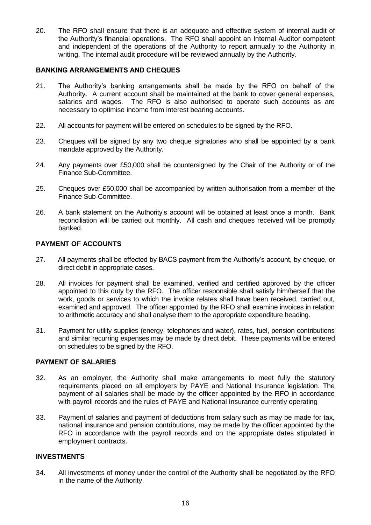20. The RFO shall ensure that there is an adequate and effective system of internal audit of the Authority's financial operations. The RFO shall appoint an Internal Auditor competent and independent of the operations of the Authority to report annually to the Authority in writing. The internal audit procedure will be reviewed annually by the Authority.

# **BANKING ARRANGEMENTS AND CHEQUES**

- 21. The Authority's banking arrangements shall be made by the RFO on behalf of the Authority. A current account shall be maintained at the bank to cover general expenses, salaries and wages. The RFO is also authorised to operate such accounts as are necessary to optimise income from interest bearing accounts.
- 22. All accounts for payment will be entered on schedules to be signed by the RFO.
- 23. Cheques will be signed by any two cheque signatories who shall be appointed by a bank mandate approved by the Authority.
- 24. Any payments over £50,000 shall be countersigned by the Chair of the Authority or of the Finance Sub-Committee.
- 25. Cheques over £50,000 shall be accompanied by written authorisation from a member of the Finance Sub-Committee.
- 26. A bank statement on the Authority's account will be obtained at least once a month. Bank reconciliation will be carried out monthly. All cash and cheques received will be promptly banked.

# **PAYMENT OF ACCOUNTS**

- 27. All payments shall be effected by BACS payment from the Authority's account, by cheque, or direct debit in appropriate cases.
- 28. All invoices for payment shall be examined, verified and certified approved by the officer appointed to this duty by the RFO. The officer responsible shall satisfy him/herself that the work, goods or services to which the invoice relates shall have been received, carried out, examined and approved. The officer appointed by the RFO shall examine invoices in relation to arithmetic accuracy and shall analyse them to the appropriate expenditure heading.
- 31. Payment for utility supplies (energy, telephones and water), rates, fuel, pension contributions and similar recurring expenses may be made by direct debit. These payments will be entered on schedules to be signed by the RFO.

### **PAYMENT OF SALARIES**

- 32. As an employer, the Authority shall make arrangements to meet fully the statutory requirements placed on all employers by PAYE and National Insurance legislation. The payment of all salaries shall be made by the officer appointed by the RFO in accordance with payroll records and the rules of PAYE and National Insurance currently operating
- 33. Payment of salaries and payment of deductions from salary such as may be made for tax, national insurance and pension contributions, may be made by the officer appointed by the RFO in accordance with the payroll records and on the appropriate dates stipulated in employment contracts.

### **INVESTMENTS**

34. All investments of money under the control of the Authority shall be negotiated by the RFO in the name of the Authority.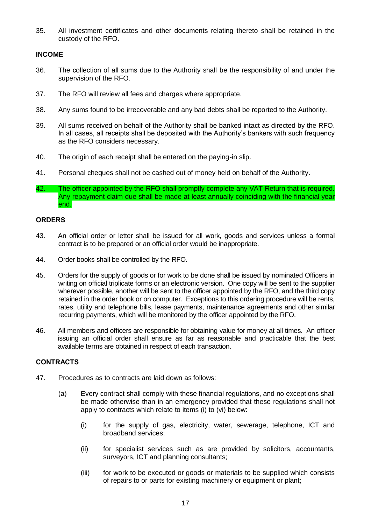35. All investment certificates and other documents relating thereto shall be retained in the custody of the RFO.

# **INCOME**

- 36. The collection of all sums due to the Authority shall be the responsibility of and under the supervision of the RFO.
- 37. The RFO will review all fees and charges where appropriate.
- 38. Any sums found to be irrecoverable and any bad debts shall be reported to the Authority.
- 39. All sums received on behalf of the Authority shall be banked intact as directed by the RFO. In all cases, all receipts shall be deposited with the Authority's bankers with such frequency as the RFO considers necessary.
- 40. The origin of each receipt shall be entered on the paying-in slip.
- 41. Personal cheques shall not be cashed out of money held on behalf of the Authority.
- 42. The officer appointed by the RFO shall promptly complete any VAT Return that is required. Any repayment claim due shall be made at least annually coinciding with the financial year end.

# **ORDERS**

- 43. An official order or letter shall be issued for all work, goods and services unless a formal contract is to be prepared or an official order would be inappropriate.
- 44. Order books shall be controlled by the RFO.
- 45. Orders for the supply of goods or for work to be done shall be issued by nominated Officers in writing on official triplicate forms or an electronic version. One copy will be sent to the supplier wherever possible, another will be sent to the officer appointed by the RFO, and the third copy retained in the order book or on computer. Exceptions to this ordering procedure will be rents, rates, utility and telephone bills, lease payments, maintenance agreements and other similar recurring payments, which will be monitored by the officer appointed by the RFO.
- 46. All members and officers are responsible for obtaining value for money at all times. An officer issuing an official order shall ensure as far as reasonable and practicable that the best available terms are obtained in respect of each transaction.

# **CONTRACTS**

- 47. Procedures as to contracts are laid down as follows:
	- (a) Every contract shall comply with these financial regulations, and no exceptions shall be made otherwise than in an emergency provided that these regulations shall not apply to contracts which relate to items (i) to (vi) below:
		- (i) for the supply of gas, electricity, water, sewerage, telephone, ICT and broadband services;
		- (ii) for specialist services such as are provided by solicitors, accountants, surveyors, ICT and planning consultants;
		- (iii) for work to be executed or goods or materials to be supplied which consists of repairs to or parts for existing machinery or equipment or plant;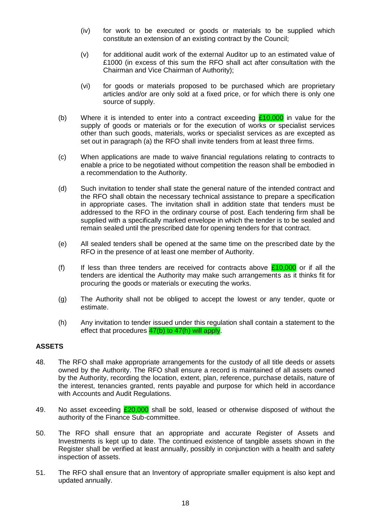- (iv) for work to be executed or goods or materials to be supplied which constitute an extension of an existing contract by the Council;
- (v) for additional audit work of the external Auditor up to an estimated value of £1000 (in excess of this sum the RFO shall act after consultation with the Chairman and Vice Chairman of Authority);
- (vi) for goods or materials proposed to be purchased which are proprietary articles and/or are only sold at a fixed price, or for which there is only one source of supply.
- (b) Where it is intended to enter into a contract exceeding  $£10,000$  in value for the supply of goods or materials or for the execution of works or specialist services other than such goods, materials, works or specialist services as are excepted as set out in paragraph (a) the RFO shall invite tenders from at least three firms.
- (c) When applications are made to waive financial regulations relating to contracts to enable a price to be negotiated without competition the reason shall be embodied in a recommendation to the Authority.
- (d) Such invitation to tender shall state the general nature of the intended contract and the RFO shall obtain the necessary technical assistance to prepare a specification in appropriate cases. The invitation shall in addition state that tenders must be addressed to the RFO in the ordinary course of post. Each tendering firm shall be supplied with a specifically marked envelope in which the tender is to be sealed and remain sealed until the prescribed date for opening tenders for that contract.
- (e) All sealed tenders shall be opened at the same time on the prescribed date by the RFO in the presence of at least one member of Authority.
- (f) If less than three tenders are received for contracts above  $£10,000$  or if all the tenders are identical the Authority may make such arrangements as it thinks fit for procuring the goods or materials or executing the works.
- (g) The Authority shall not be obliged to accept the lowest or any tender, quote or estimate.
- (h) Any invitation to tender issued under this regulation shall contain a statement to the effect that procedures  $\frac{47(b)}{b}$  to  $\frac{47(h)}{h}$  will apply.

# **ASSETS**

- 48. The RFO shall make appropriate arrangements for the custody of all title deeds or assets owned by the Authority. The RFO shall ensure a record is maintained of all assets owned by the Authority, recording the location, extent, plan, reference, purchase details, nature of the interest, tenancies granted, rents payable and purpose for which held in accordance with Accounts and Audit Regulations.
- 49. No asset exceeding  $£20,000$  shall be sold, leased or otherwise disposed of without the authority of the Finance Sub-committee.
- 50. The RFO shall ensure that an appropriate and accurate Register of Assets and Investments is kept up to date. The continued existence of tangible assets shown in the Register shall be verified at least annually, possibly in conjunction with a health and safety inspection of assets.
- 51. The RFO shall ensure that an Inventory of appropriate smaller equipment is also kept and updated annually.